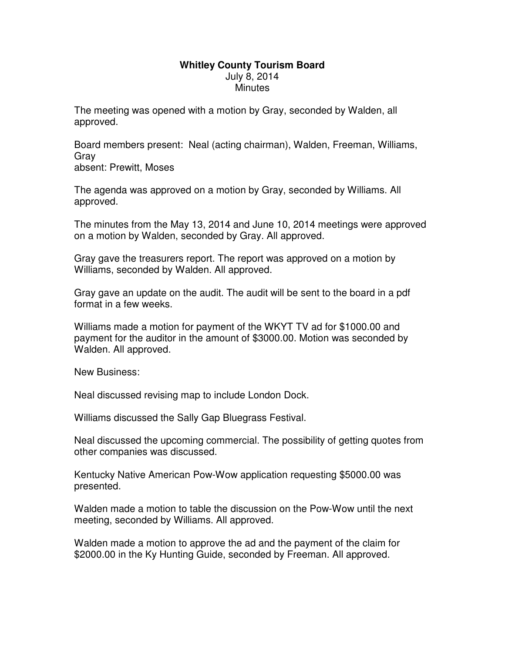## **Whitley County Tourism Board**  July 8, 2014 **Minutes**

The meeting was opened with a motion by Gray, seconded by Walden, all approved.

Board members present: Neal (acting chairman), Walden, Freeman, Williams, Gray

absent: Prewitt, Moses

The agenda was approved on a motion by Gray, seconded by Williams. All approved.

The minutes from the May 13, 2014 and June 10, 2014 meetings were approved on a motion by Walden, seconded by Gray. All approved.

Gray gave the treasurers report. The report was approved on a motion by Williams, seconded by Walden. All approved.

Gray gave an update on the audit. The audit will be sent to the board in a pdf format in a few weeks.

Williams made a motion for payment of the WKYT TV ad for \$1000.00 and payment for the auditor in the amount of \$3000.00. Motion was seconded by Walden. All approved.

New Business:

Neal discussed revising map to include London Dock.

Williams discussed the Sally Gap Bluegrass Festival.

Neal discussed the upcoming commercial. The possibility of getting quotes from other companies was discussed.

Kentucky Native American Pow-Wow application requesting \$5000.00 was presented.

Walden made a motion to table the discussion on the Pow-Wow until the next meeting, seconded by Williams. All approved.

Walden made a motion to approve the ad and the payment of the claim for \$2000.00 in the Ky Hunting Guide, seconded by Freeman. All approved.